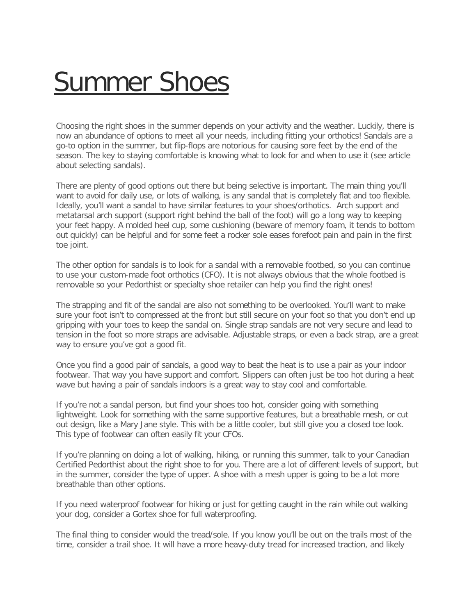## [Summer Shoes](https://www.pedorthic.ca/summer-shoes/)

Choosing the right shoes in the summer depends on your activity and the weather. Luckily, there is now an abundance of options to meet all your needs, including fitting your orthotics! Sandals are a go-to option in the summer, but flip-flops are notorious for causing sore feet by the end of the season. The key to staying comfortable is knowing what to look for and when to use it (see article about selecting sandals).

There are plenty of good options out there but being selective is important. The main thing you'll want to avoid for daily use, or lots of walking, is any sandal that is completely flat and too flexible. Ideally, you'll want a sandal to have similar features to your shoes/orthotics. Arch support and metatarsal arch support (support right behind the ball of the foot) will go a long way to keeping your feet happy. A molded heel cup, some cushioning (beware of memory foam, it tends to bottom out quickly) can be helpful and for some feet a rocker sole eases forefoot pain and pain in the first toe joint.

The other option for sandals is to look for a sandal with a removable footbed, so you can continue to use your custom-made foot orthotics (CFO). It is not always obvious that the whole footbed is removable so your Pedorthist or specialty shoe retailer can help you find the right ones!

The strapping and fit of the sandal are also not something to be overlooked. You'll want to make sure your foot isn't to compressed at the front but still secure on your foot so that you don't end up gripping with your toes to keep the sandal on. Single strap sandals are not very secure and lead to tension in the foot so more straps are advisable. Adjustable straps, or even a back strap, are a great way to ensure you've got a good fit.

Once you find a good pair of sandals, a good way to beat the heat is to use a pair as your indoor footwear. That way you have support and comfort. Slippers can often just be too hot during a heat wave but having a pair of sandals indoors is a great way to stay cool and comfortable.

If you're not a sandal person, but find your shoes too hot, consider going with something lightweight. Look for something with the same supportive features, but a breathable mesh, or cut out design, like a Mary Jane style. This with be a little cooler, but still give you a closed toe look. This type of footwear can often easily fit your CFOs.

If you're planning on doing a lot of walking, hiking, or running this summer, talk to your Canadian Certified Pedorthist about the right shoe to for you. There are a lot of different levels of support, but in the summer, consider the type of upper. A shoe with a mesh upper is going to be a lot more breathable than other options.

If you need waterproof footwear for hiking or just for getting caught in the rain while out walking your dog, consider a Gortex shoe for full waterproofing.

The final thing to consider would the tread/sole. If you know you'll be out on the trails most of the time, consider a trail shoe. It will have a more heavy-duty tread for increased traction, and likely